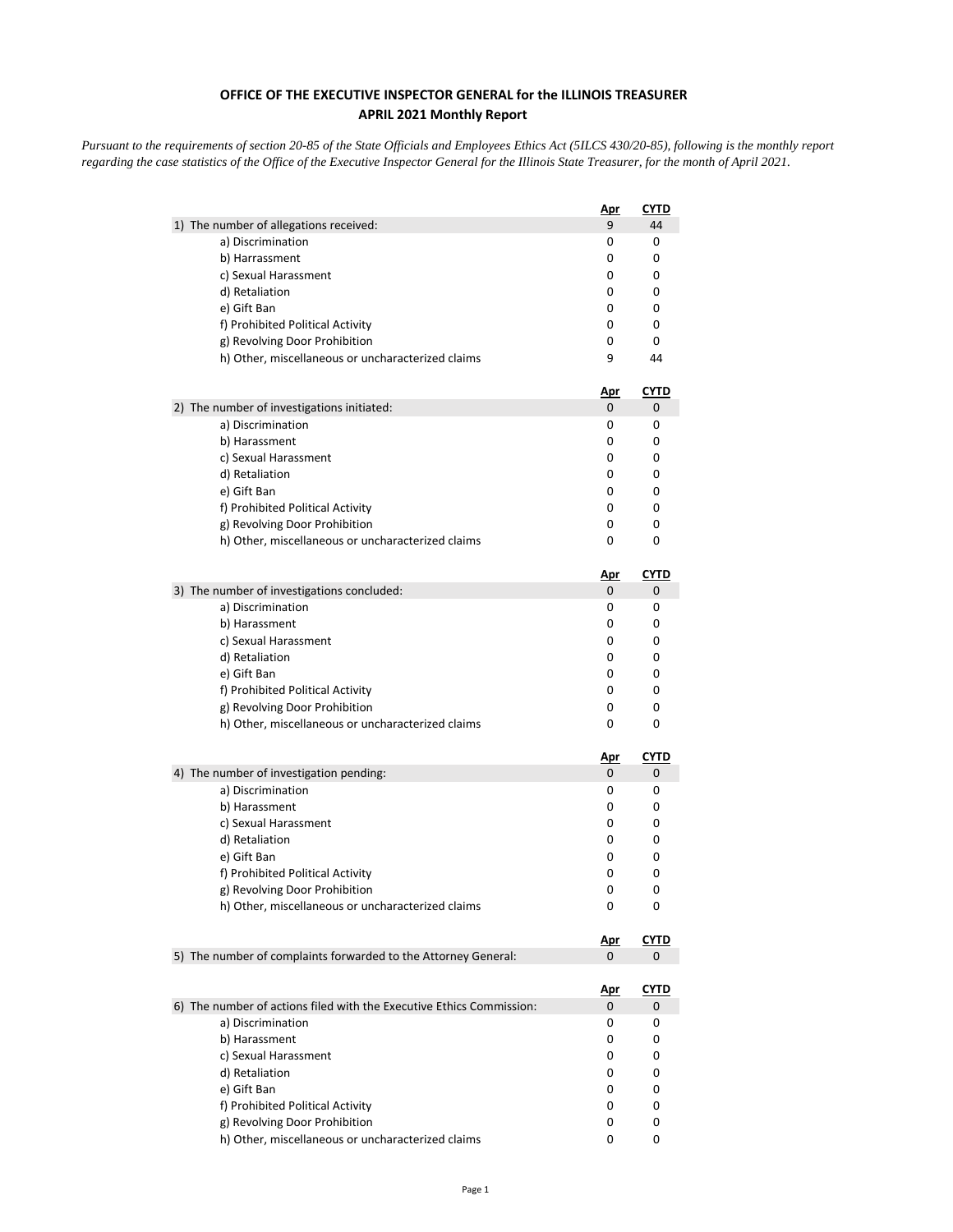## **OFFICE OF THE EXECUTIVE INSPECTOR GENERAL for the ILLINOIS TREASURER APRIL 2021 Monthly Report**

*Pursuant to the requirements of section 20-85 of the State Officials and Employees Ethics Act (5ILCS 430/20-85), following is the monthly report regarding the case statistics of the Office of the Executive Inspector General for the Illinois State Treasurer, for the month of April 2021.* 

| 1) The number of allegations received:<br>9<br>44<br>a) Discrimination<br>0<br>0<br>b) Harrassment<br>0<br>0<br>c) Sexual Harassment<br>0<br>0<br>0<br>0<br>d) Retaliation<br>e) Gift Ban<br>0<br>0<br>f) Prohibited Political Activity<br>0<br>0<br>g) Revolving Door Prohibition<br>0<br>0<br>h) Other, miscellaneous or uncharacterized claims<br>9<br>44<br><u>Apr</u><br><u>CYTD</u><br>2) The number of investigations initiated:<br>0<br>0<br>a) Discrimination<br>0<br>0<br>0<br>0<br>b) Harassment<br>c) Sexual Harassment<br>0<br>0<br>d) Retaliation<br>0<br>0<br>e) Gift Ban<br>0<br>0<br>f) Prohibited Political Activity<br>0<br>0<br>0<br>g) Revolving Door Prohibition<br>0<br>0<br>0<br>h) Other, miscellaneous or uncharacterized claims<br><u>CYTD</u><br><u>Apr</u><br>3) The number of investigations concluded:<br>0<br>0<br>0<br>0<br>a) Discrimination<br>b) Harassment<br>0<br>0<br>c) Sexual Harassment<br>0<br>0<br>d) Retaliation<br>0<br>0<br>e) Gift Ban<br>0<br>0<br>f) Prohibited Political Activity<br>0<br>0<br>g) Revolving Door Prohibition<br>0<br>0<br>h) Other, miscellaneous or uncharacterized claims<br>0<br>0<br><u>CYTD</u><br><u>Apr</u><br>4) The number of investigation pending:<br>0<br>0<br>a) Discrimination<br>0<br>0<br>b) Harassment<br>0<br>0<br>0<br>c) Sexual Harassment<br>0<br>0<br>d) Retaliation<br>0<br>e) Gift Ban<br>0<br>0<br>f) Prohibited Political Activity<br>0<br>0<br>g) Revolving Door Prohibition<br>0<br>0<br>h) Other, miscellaneous or uncharacterized claims<br>0<br>0<br>CYTD<br><u>Apr</u><br>5) The number of complaints forwarded to the Attorney General:<br>0<br>0<br><u>CYTD</u><br><u>Apr</u><br>6) The number of actions filed with the Executive Ethics Commission:<br>0<br>0<br>a) Discrimination<br>0<br>0<br>b) Harassment<br>0<br>0<br>c) Sexual Harassment<br>0<br>0<br>d) Retaliation<br>0<br>0<br>e) Gift Ban<br>0<br>0<br>f) Prohibited Political Activity<br>0<br>0<br>g) Revolving Door Prohibition<br>0<br>0<br>h) Other, miscellaneous or uncharacterized claims<br>0<br>0 | <u>Apr</u> | CYTD |
|-------------------------------------------------------------------------------------------------------------------------------------------------------------------------------------------------------------------------------------------------------------------------------------------------------------------------------------------------------------------------------------------------------------------------------------------------------------------------------------------------------------------------------------------------------------------------------------------------------------------------------------------------------------------------------------------------------------------------------------------------------------------------------------------------------------------------------------------------------------------------------------------------------------------------------------------------------------------------------------------------------------------------------------------------------------------------------------------------------------------------------------------------------------------------------------------------------------------------------------------------------------------------------------------------------------------------------------------------------------------------------------------------------------------------------------------------------------------------------------------------------------------------------------------------------------------------------------------------------------------------------------------------------------------------------------------------------------------------------------------------------------------------------------------------------------------------------------------------------------------------------------------------------------------------------------------------------------------------------------------------------------------------------------------------------------------------------|------------|------|
|                                                                                                                                                                                                                                                                                                                                                                                                                                                                                                                                                                                                                                                                                                                                                                                                                                                                                                                                                                                                                                                                                                                                                                                                                                                                                                                                                                                                                                                                                                                                                                                                                                                                                                                                                                                                                                                                                                                                                                                                                                                                               |            |      |
|                                                                                                                                                                                                                                                                                                                                                                                                                                                                                                                                                                                                                                                                                                                                                                                                                                                                                                                                                                                                                                                                                                                                                                                                                                                                                                                                                                                                                                                                                                                                                                                                                                                                                                                                                                                                                                                                                                                                                                                                                                                                               |            |      |
|                                                                                                                                                                                                                                                                                                                                                                                                                                                                                                                                                                                                                                                                                                                                                                                                                                                                                                                                                                                                                                                                                                                                                                                                                                                                                                                                                                                                                                                                                                                                                                                                                                                                                                                                                                                                                                                                                                                                                                                                                                                                               |            |      |
|                                                                                                                                                                                                                                                                                                                                                                                                                                                                                                                                                                                                                                                                                                                                                                                                                                                                                                                                                                                                                                                                                                                                                                                                                                                                                                                                                                                                                                                                                                                                                                                                                                                                                                                                                                                                                                                                                                                                                                                                                                                                               |            |      |
|                                                                                                                                                                                                                                                                                                                                                                                                                                                                                                                                                                                                                                                                                                                                                                                                                                                                                                                                                                                                                                                                                                                                                                                                                                                                                                                                                                                                                                                                                                                                                                                                                                                                                                                                                                                                                                                                                                                                                                                                                                                                               |            |      |
|                                                                                                                                                                                                                                                                                                                                                                                                                                                                                                                                                                                                                                                                                                                                                                                                                                                                                                                                                                                                                                                                                                                                                                                                                                                                                                                                                                                                                                                                                                                                                                                                                                                                                                                                                                                                                                                                                                                                                                                                                                                                               |            |      |
|                                                                                                                                                                                                                                                                                                                                                                                                                                                                                                                                                                                                                                                                                                                                                                                                                                                                                                                                                                                                                                                                                                                                                                                                                                                                                                                                                                                                                                                                                                                                                                                                                                                                                                                                                                                                                                                                                                                                                                                                                                                                               |            |      |
|                                                                                                                                                                                                                                                                                                                                                                                                                                                                                                                                                                                                                                                                                                                                                                                                                                                                                                                                                                                                                                                                                                                                                                                                                                                                                                                                                                                                                                                                                                                                                                                                                                                                                                                                                                                                                                                                                                                                                                                                                                                                               |            |      |
|                                                                                                                                                                                                                                                                                                                                                                                                                                                                                                                                                                                                                                                                                                                                                                                                                                                                                                                                                                                                                                                                                                                                                                                                                                                                                                                                                                                                                                                                                                                                                                                                                                                                                                                                                                                                                                                                                                                                                                                                                                                                               |            |      |
|                                                                                                                                                                                                                                                                                                                                                                                                                                                                                                                                                                                                                                                                                                                                                                                                                                                                                                                                                                                                                                                                                                                                                                                                                                                                                                                                                                                                                                                                                                                                                                                                                                                                                                                                                                                                                                                                                                                                                                                                                                                                               |            |      |
|                                                                                                                                                                                                                                                                                                                                                                                                                                                                                                                                                                                                                                                                                                                                                                                                                                                                                                                                                                                                                                                                                                                                                                                                                                                                                                                                                                                                                                                                                                                                                                                                                                                                                                                                                                                                                                                                                                                                                                                                                                                                               |            |      |
|                                                                                                                                                                                                                                                                                                                                                                                                                                                                                                                                                                                                                                                                                                                                                                                                                                                                                                                                                                                                                                                                                                                                                                                                                                                                                                                                                                                                                                                                                                                                                                                                                                                                                                                                                                                                                                                                                                                                                                                                                                                                               |            |      |
|                                                                                                                                                                                                                                                                                                                                                                                                                                                                                                                                                                                                                                                                                                                                                                                                                                                                                                                                                                                                                                                                                                                                                                                                                                                                                                                                                                                                                                                                                                                                                                                                                                                                                                                                                                                                                                                                                                                                                                                                                                                                               |            |      |
|                                                                                                                                                                                                                                                                                                                                                                                                                                                                                                                                                                                                                                                                                                                                                                                                                                                                                                                                                                                                                                                                                                                                                                                                                                                                                                                                                                                                                                                                                                                                                                                                                                                                                                                                                                                                                                                                                                                                                                                                                                                                               |            |      |
|                                                                                                                                                                                                                                                                                                                                                                                                                                                                                                                                                                                                                                                                                                                                                                                                                                                                                                                                                                                                                                                                                                                                                                                                                                                                                                                                                                                                                                                                                                                                                                                                                                                                                                                                                                                                                                                                                                                                                                                                                                                                               |            |      |
|                                                                                                                                                                                                                                                                                                                                                                                                                                                                                                                                                                                                                                                                                                                                                                                                                                                                                                                                                                                                                                                                                                                                                                                                                                                                                                                                                                                                                                                                                                                                                                                                                                                                                                                                                                                                                                                                                                                                                                                                                                                                               |            |      |
|                                                                                                                                                                                                                                                                                                                                                                                                                                                                                                                                                                                                                                                                                                                                                                                                                                                                                                                                                                                                                                                                                                                                                                                                                                                                                                                                                                                                                                                                                                                                                                                                                                                                                                                                                                                                                                                                                                                                                                                                                                                                               |            |      |
|                                                                                                                                                                                                                                                                                                                                                                                                                                                                                                                                                                                                                                                                                                                                                                                                                                                                                                                                                                                                                                                                                                                                                                                                                                                                                                                                                                                                                                                                                                                                                                                                                                                                                                                                                                                                                                                                                                                                                                                                                                                                               |            |      |
|                                                                                                                                                                                                                                                                                                                                                                                                                                                                                                                                                                                                                                                                                                                                                                                                                                                                                                                                                                                                                                                                                                                                                                                                                                                                                                                                                                                                                                                                                                                                                                                                                                                                                                                                                                                                                                                                                                                                                                                                                                                                               |            |      |
|                                                                                                                                                                                                                                                                                                                                                                                                                                                                                                                                                                                                                                                                                                                                                                                                                                                                                                                                                                                                                                                                                                                                                                                                                                                                                                                                                                                                                                                                                                                                                                                                                                                                                                                                                                                                                                                                                                                                                                                                                                                                               |            |      |
|                                                                                                                                                                                                                                                                                                                                                                                                                                                                                                                                                                                                                                                                                                                                                                                                                                                                                                                                                                                                                                                                                                                                                                                                                                                                                                                                                                                                                                                                                                                                                                                                                                                                                                                                                                                                                                                                                                                                                                                                                                                                               |            |      |
|                                                                                                                                                                                                                                                                                                                                                                                                                                                                                                                                                                                                                                                                                                                                                                                                                                                                                                                                                                                                                                                                                                                                                                                                                                                                                                                                                                                                                                                                                                                                                                                                                                                                                                                                                                                                                                                                                                                                                                                                                                                                               |            |      |
|                                                                                                                                                                                                                                                                                                                                                                                                                                                                                                                                                                                                                                                                                                                                                                                                                                                                                                                                                                                                                                                                                                                                                                                                                                                                                                                                                                                                                                                                                                                                                                                                                                                                                                                                                                                                                                                                                                                                                                                                                                                                               |            |      |
|                                                                                                                                                                                                                                                                                                                                                                                                                                                                                                                                                                                                                                                                                                                                                                                                                                                                                                                                                                                                                                                                                                                                                                                                                                                                                                                                                                                                                                                                                                                                                                                                                                                                                                                                                                                                                                                                                                                                                                                                                                                                               |            |      |
|                                                                                                                                                                                                                                                                                                                                                                                                                                                                                                                                                                                                                                                                                                                                                                                                                                                                                                                                                                                                                                                                                                                                                                                                                                                                                                                                                                                                                                                                                                                                                                                                                                                                                                                                                                                                                                                                                                                                                                                                                                                                               |            |      |
|                                                                                                                                                                                                                                                                                                                                                                                                                                                                                                                                                                                                                                                                                                                                                                                                                                                                                                                                                                                                                                                                                                                                                                                                                                                                                                                                                                                                                                                                                                                                                                                                                                                                                                                                                                                                                                                                                                                                                                                                                                                                               |            |      |
|                                                                                                                                                                                                                                                                                                                                                                                                                                                                                                                                                                                                                                                                                                                                                                                                                                                                                                                                                                                                                                                                                                                                                                                                                                                                                                                                                                                                                                                                                                                                                                                                                                                                                                                                                                                                                                                                                                                                                                                                                                                                               |            |      |
|                                                                                                                                                                                                                                                                                                                                                                                                                                                                                                                                                                                                                                                                                                                                                                                                                                                                                                                                                                                                                                                                                                                                                                                                                                                                                                                                                                                                                                                                                                                                                                                                                                                                                                                                                                                                                                                                                                                                                                                                                                                                               |            |      |
|                                                                                                                                                                                                                                                                                                                                                                                                                                                                                                                                                                                                                                                                                                                                                                                                                                                                                                                                                                                                                                                                                                                                                                                                                                                                                                                                                                                                                                                                                                                                                                                                                                                                                                                                                                                                                                                                                                                                                                                                                                                                               |            |      |
|                                                                                                                                                                                                                                                                                                                                                                                                                                                                                                                                                                                                                                                                                                                                                                                                                                                                                                                                                                                                                                                                                                                                                                                                                                                                                                                                                                                                                                                                                                                                                                                                                                                                                                                                                                                                                                                                                                                                                                                                                                                                               |            |      |
|                                                                                                                                                                                                                                                                                                                                                                                                                                                                                                                                                                                                                                                                                                                                                                                                                                                                                                                                                                                                                                                                                                                                                                                                                                                                                                                                                                                                                                                                                                                                                                                                                                                                                                                                                                                                                                                                                                                                                                                                                                                                               |            |      |
|                                                                                                                                                                                                                                                                                                                                                                                                                                                                                                                                                                                                                                                                                                                                                                                                                                                                                                                                                                                                                                                                                                                                                                                                                                                                                                                                                                                                                                                                                                                                                                                                                                                                                                                                                                                                                                                                                                                                                                                                                                                                               |            |      |
|                                                                                                                                                                                                                                                                                                                                                                                                                                                                                                                                                                                                                                                                                                                                                                                                                                                                                                                                                                                                                                                                                                                                                                                                                                                                                                                                                                                                                                                                                                                                                                                                                                                                                                                                                                                                                                                                                                                                                                                                                                                                               |            |      |
|                                                                                                                                                                                                                                                                                                                                                                                                                                                                                                                                                                                                                                                                                                                                                                                                                                                                                                                                                                                                                                                                                                                                                                                                                                                                                                                                                                                                                                                                                                                                                                                                                                                                                                                                                                                                                                                                                                                                                                                                                                                                               |            |      |
|                                                                                                                                                                                                                                                                                                                                                                                                                                                                                                                                                                                                                                                                                                                                                                                                                                                                                                                                                                                                                                                                                                                                                                                                                                                                                                                                                                                                                                                                                                                                                                                                                                                                                                                                                                                                                                                                                                                                                                                                                                                                               |            |      |
|                                                                                                                                                                                                                                                                                                                                                                                                                                                                                                                                                                                                                                                                                                                                                                                                                                                                                                                                                                                                                                                                                                                                                                                                                                                                                                                                                                                                                                                                                                                                                                                                                                                                                                                                                                                                                                                                                                                                                                                                                                                                               |            |      |
|                                                                                                                                                                                                                                                                                                                                                                                                                                                                                                                                                                                                                                                                                                                                                                                                                                                                                                                                                                                                                                                                                                                                                                                                                                                                                                                                                                                                                                                                                                                                                                                                                                                                                                                                                                                                                                                                                                                                                                                                                                                                               |            |      |
|                                                                                                                                                                                                                                                                                                                                                                                                                                                                                                                                                                                                                                                                                                                                                                                                                                                                                                                                                                                                                                                                                                                                                                                                                                                                                                                                                                                                                                                                                                                                                                                                                                                                                                                                                                                                                                                                                                                                                                                                                                                                               |            |      |
|                                                                                                                                                                                                                                                                                                                                                                                                                                                                                                                                                                                                                                                                                                                                                                                                                                                                                                                                                                                                                                                                                                                                                                                                                                                                                                                                                                                                                                                                                                                                                                                                                                                                                                                                                                                                                                                                                                                                                                                                                                                                               |            |      |
|                                                                                                                                                                                                                                                                                                                                                                                                                                                                                                                                                                                                                                                                                                                                                                                                                                                                                                                                                                                                                                                                                                                                                                                                                                                                                                                                                                                                                                                                                                                                                                                                                                                                                                                                                                                                                                                                                                                                                                                                                                                                               |            |      |
|                                                                                                                                                                                                                                                                                                                                                                                                                                                                                                                                                                                                                                                                                                                                                                                                                                                                                                                                                                                                                                                                                                                                                                                                                                                                                                                                                                                                                                                                                                                                                                                                                                                                                                                                                                                                                                                                                                                                                                                                                                                                               |            |      |
|                                                                                                                                                                                                                                                                                                                                                                                                                                                                                                                                                                                                                                                                                                                                                                                                                                                                                                                                                                                                                                                                                                                                                                                                                                                                                                                                                                                                                                                                                                                                                                                                                                                                                                                                                                                                                                                                                                                                                                                                                                                                               |            |      |
|                                                                                                                                                                                                                                                                                                                                                                                                                                                                                                                                                                                                                                                                                                                                                                                                                                                                                                                                                                                                                                                                                                                                                                                                                                                                                                                                                                                                                                                                                                                                                                                                                                                                                                                                                                                                                                                                                                                                                                                                                                                                               |            |      |
|                                                                                                                                                                                                                                                                                                                                                                                                                                                                                                                                                                                                                                                                                                                                                                                                                                                                                                                                                                                                                                                                                                                                                                                                                                                                                                                                                                                                                                                                                                                                                                                                                                                                                                                                                                                                                                                                                                                                                                                                                                                                               |            |      |
|                                                                                                                                                                                                                                                                                                                                                                                                                                                                                                                                                                                                                                                                                                                                                                                                                                                                                                                                                                                                                                                                                                                                                                                                                                                                                                                                                                                                                                                                                                                                                                                                                                                                                                                                                                                                                                                                                                                                                                                                                                                                               |            |      |
|                                                                                                                                                                                                                                                                                                                                                                                                                                                                                                                                                                                                                                                                                                                                                                                                                                                                                                                                                                                                                                                                                                                                                                                                                                                                                                                                                                                                                                                                                                                                                                                                                                                                                                                                                                                                                                                                                                                                                                                                                                                                               |            |      |
|                                                                                                                                                                                                                                                                                                                                                                                                                                                                                                                                                                                                                                                                                                                                                                                                                                                                                                                                                                                                                                                                                                                                                                                                                                                                                                                                                                                                                                                                                                                                                                                                                                                                                                                                                                                                                                                                                                                                                                                                                                                                               |            |      |
|                                                                                                                                                                                                                                                                                                                                                                                                                                                                                                                                                                                                                                                                                                                                                                                                                                                                                                                                                                                                                                                                                                                                                                                                                                                                                                                                                                                                                                                                                                                                                                                                                                                                                                                                                                                                                                                                                                                                                                                                                                                                               |            |      |
|                                                                                                                                                                                                                                                                                                                                                                                                                                                                                                                                                                                                                                                                                                                                                                                                                                                                                                                                                                                                                                                                                                                                                                                                                                                                                                                                                                                                                                                                                                                                                                                                                                                                                                                                                                                                                                                                                                                                                                                                                                                                               |            |      |
|                                                                                                                                                                                                                                                                                                                                                                                                                                                                                                                                                                                                                                                                                                                                                                                                                                                                                                                                                                                                                                                                                                                                                                                                                                                                                                                                                                                                                                                                                                                                                                                                                                                                                                                                                                                                                                                                                                                                                                                                                                                                               |            |      |
|                                                                                                                                                                                                                                                                                                                                                                                                                                                                                                                                                                                                                                                                                                                                                                                                                                                                                                                                                                                                                                                                                                                                                                                                                                                                                                                                                                                                                                                                                                                                                                                                                                                                                                                                                                                                                                                                                                                                                                                                                                                                               |            |      |